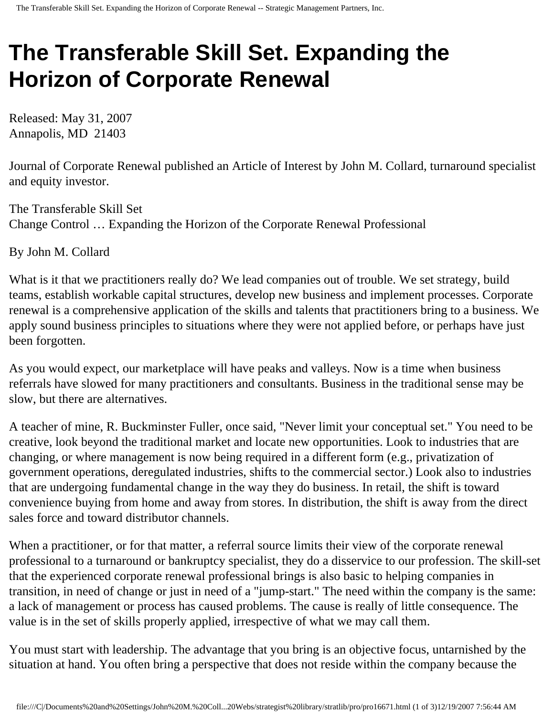## **The Transferable Skill Set. Expanding the Horizon of Corporate Renewal**

Released: May 31, 2007 Annapolis, MD 21403

Journal of Corporate Renewal published an Article of Interest by John M. Collard, turnaround specialist and equity investor.

The Transferable Skill Set Change Control … Expanding the Horizon of the Corporate Renewal Professional

By John M. Collard

What is it that we practitioners really do? We lead companies out of trouble. We set strategy, build teams, establish workable capital structures, develop new business and implement processes. Corporate renewal is a comprehensive application of the skills and talents that practitioners bring to a business. We apply sound business principles to situations where they were not applied before, or perhaps have just been forgotten.

As you would expect, our marketplace will have peaks and valleys. Now is a time when business referrals have slowed for many practitioners and consultants. Business in the traditional sense may be slow, but there are alternatives.

A teacher of mine, R. Buckminster Fuller, once said, "Never limit your conceptual set." You need to be creative, look beyond the traditional market and locate new opportunities. Look to industries that are changing, or where management is now being required in a different form (e.g., privatization of government operations, deregulated industries, shifts to the commercial sector.) Look also to industries that are undergoing fundamental change in the way they do business. In retail, the shift is toward convenience buying from home and away from stores. In distribution, the shift is away from the direct sales force and toward distributor channels.

When a practitioner, or for that matter, a referral source limits their view of the corporate renewal professional to a turnaround or bankruptcy specialist, they do a disservice to our profession. The skill-set that the experienced corporate renewal professional brings is also basic to helping companies in transition, in need of change or just in need of a "jump-start." The need within the company is the same: a lack of management or process has caused problems. The cause is really of little consequence. The value is in the set of skills properly applied, irrespective of what we may call them.

You must start with leadership. The advantage that you bring is an objective focus, untarnished by the situation at hand. You often bring a perspective that does not reside within the company because the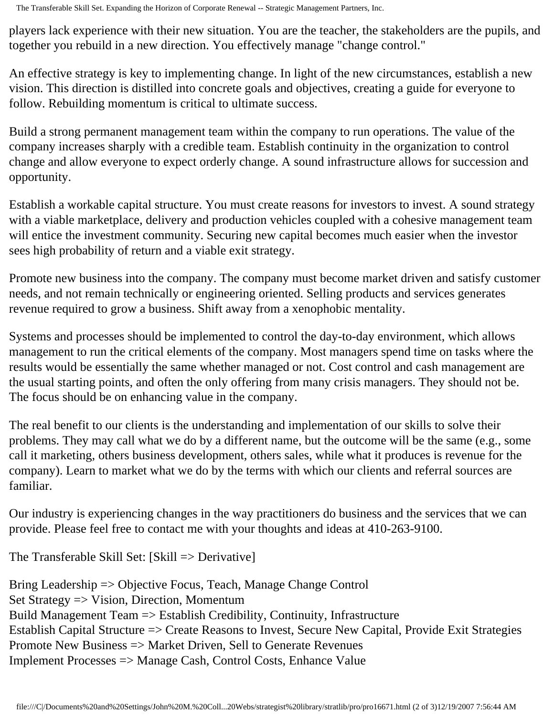players lack experience with their new situation. You are the teacher, the stakeholders are the pupils, and together you rebuild in a new direction. You effectively manage "change control."

An effective strategy is key to implementing change. In light of the new circumstances, establish a new vision. This direction is distilled into concrete goals and objectives, creating a guide for everyone to follow. Rebuilding momentum is critical to ultimate success.

Build a strong permanent management team within the company to run operations. The value of the company increases sharply with a credible team. Establish continuity in the organization to control change and allow everyone to expect orderly change. A sound infrastructure allows for succession and opportunity.

Establish a workable capital structure. You must create reasons for investors to invest. A sound strategy with a viable marketplace, delivery and production vehicles coupled with a cohesive management team will entice the investment community. Securing new capital becomes much easier when the investor sees high probability of return and a viable exit strategy.

Promote new business into the company. The company must become market driven and satisfy customer needs, and not remain technically or engineering oriented. Selling products and services generates revenue required to grow a business. Shift away from a xenophobic mentality.

Systems and processes should be implemented to control the day-to-day environment, which allows management to run the critical elements of the company. Most managers spend time on tasks where the results would be essentially the same whether managed or not. Cost control and cash management are the usual starting points, and often the only offering from many crisis managers. They should not be. The focus should be on enhancing value in the company.

The real benefit to our clients is the understanding and implementation of our skills to solve their problems. They may call what we do by a different name, but the outcome will be the same (e.g., some call it marketing, others business development, others sales, while what it produces is revenue for the company). Learn to market what we do by the terms with which our clients and referral sources are familiar.

Our industry is experiencing changes in the way practitioners do business and the services that we can provide. Please feel free to contact me with your thoughts and ideas at 410-263-9100.

The Transferable Skill Set: [Skill => Derivative]

Bring Leadership => Objective Focus, Teach, Manage Change Control Set Strategy => Vision, Direction, Momentum Build Management Team => Establish Credibility, Continuity, Infrastructure Establish Capital Structure => Create Reasons to Invest, Secure New Capital, Provide Exit Strategies Promote New Business => Market Driven, Sell to Generate Revenues Implement Processes => Manage Cash, Control Costs, Enhance Value